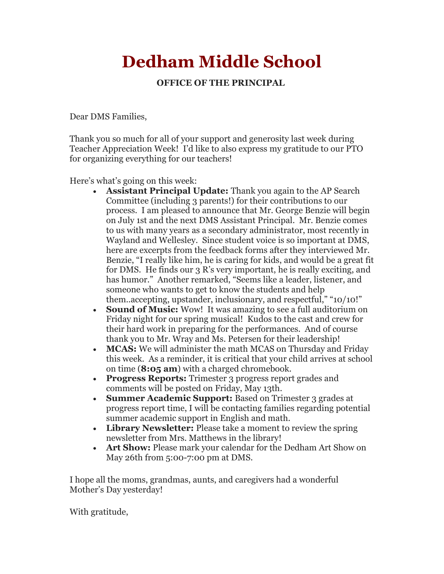## **Dedham Middle School**

## **OFFICE OF THE PRINCIPAL**

Dear DMS Families,

Thank you so much for all of your support and generosity last week during Teacher Appreciation Week! I'd like to also express my gratitude to our PTO for organizing everything for our teachers!

Here's what's going on this week:

- **Assistant Principal Update:** Thank you again to the AP Search Committee (including 3 parents!) for their contributions to our process. I am pleased to announce that Mr. George Benzie will begin on July 1st and the next DMS Assistant Principal. Mr. Benzie comes to us with many years as a secondary administrator, most recently in Wayland and Wellesley. Since student voice is so important at DMS, here are excerpts from the feedback forms after they interviewed Mr. Benzie, "I really like him, he is caring for kids, and would be a great fit for DMS. He finds our 3 R's very important, he is really exciting, and has humor." Another remarked, "Seems like a leader, listener, and someone who wants to get to know the students and help them..accepting, upstander, inclusionary, and respectful," "10/10!"
- **Sound of Music:** Wow! It was amazing to see a full auditorium on Friday night for our spring musical! Kudos to the cast and crew for their hard work in preparing for the performances. And of course thank you to Mr. Wray and Ms. Petersen for their leadership!
- **MCAS:** We will administer the math MCAS on Thursday and Friday this week. As a reminder, it is critical that your child arrives at school on time (**8:05 am**) with a charged chromebook.
- **Progress Reports:** Trimester 3 progress report grades and comments will be posted on Friday, May 13th.
- **Summer Academic Support:** Based on Trimester 3 grades at progress report time, I will be contacting families regarding potential summer academic support in English and math.
- **Library Newsletter:** Please take a moment to review the spring newsletter from Mrs. Matthews in the library!
- **Art Show:** Please mark your calendar for the Dedham Art Show on May 26th from 5:00-7:00 pm at DMS.

I hope all the moms, grandmas, aunts, and caregivers had a wonderful Mother's Day yesterday!

With gratitude,